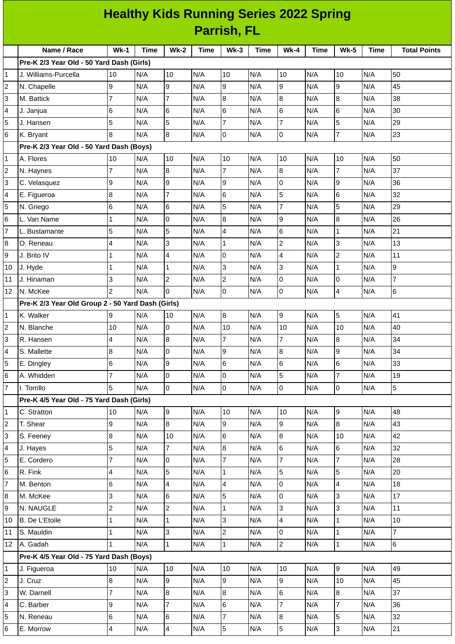|                | <b>Healthy Kids Running Series 2022 Spring</b>    |                |      |                         |      |                 |      |                |             |                          |             |                     |
|----------------|---------------------------------------------------|----------------|------|-------------------------|------|-----------------|------|----------------|-------------|--------------------------|-------------|---------------------|
|                | <b>Parrish, FL</b>                                |                |      |                         |      |                 |      |                |             |                          |             |                     |
|                | Name / Race                                       | $Wk-1$         | Time | <b>Wk-2</b>             | Time | $Wk-3$          | Time | $Wk-4$         | <b>Time</b> | <b>Wk-5</b>              | <b>Time</b> | <b>Total Points</b> |
|                | Pre-K 2/3 Year Old - 50 Yard Dash (Girls)         |                |      |                         |      |                 |      |                |             |                          |             |                     |
| 1              | J. Williams-Purcella                              | 10             | N/A  | 10                      | N/A  | 10              | N/A  | 10             | N/A         | 10                       | N/A         | 50                  |
| 2              | N. Chapelle                                       | 9              | N/A  | l9                      | N/A  | 9               | N/A  | 9              | N/A         | $\mathsf g$              | N/A         | 45                  |
| 3              | M. Battick                                        | $\overline{7}$ | N/A  | $\overline{7}$          | N/A  | 8               | N/A  | 8              | N/A         | $\boldsymbol{8}$         | N/A         | 38                  |
| 4              | J. Janjua                                         | 6              | N/A  | 6                       | N/A  | $6\phantom{.}6$ | N/A  | 6              | N/A         | $\,$ 6                   | N/A         | 30                  |
| 5              | J. Hansen                                         | 5              | N/A  | 5                       | N/A  | $\overline{7}$  | N/A  | $\overline{7}$ | N/A         | 5                        | N/A         | 29                  |
| 6              | K. Bryant                                         | 8              | N/A  | 8                       | N/A  | 0               | N/A  | 0              | N/A         | $\overline{7}$           | N/A         | 23                  |
|                | Pre-K 2/3 Year Old - 50 Yard Dash (Boys)          |                |      |                         |      |                 |      |                |             |                          |             |                     |
| 1              | A. Flores                                         | 10             | N/A  | 10                      | N/A  | 10              | N/A  | 10             | N/A         | 10                       | N/A         | 50                  |
| 2              | N. Haynes                                         | 7              | N/A  | 8                       | N/A  | 7               | N/A  | 8              | N/A         | $\overline{7}$           | N/A         | 37                  |
| 3              | C. Velasquez                                      | 9              | N/A  | l9                      | N/A  | 9               | N/A  | 0              | N/A         | $\mathsf g$              | N/A         | 36                  |
| 4              | E. Figueroa                                       | 8              | N/A  | $\overline{7}$          | N/A  | 6               | N/A  | 5              | N/A         | 6                        | N/A         | 32                  |
| 5              | N. Griego                                         | 6              | N/A  | $6\phantom{.}6$         | N/A  | 5               | N/A  | $\overline{7}$ | N/A         | 5                        | N/A         | 29                  |
| 6              | L. Van Name                                       | $\mathbf{1}$   | N/A  | l0                      | N/A  | $\bf{8}$        | N/A  | 9              | N/A         | 8                        | N/A         | 26                  |
| 7              | L. Bustamante                                     | 5              | N/A  | 5                       | N/A  | $\overline{4}$  | N/A  | 6              | N/A         | $\mathbf 1$              | N/A         | 21                  |
| 8              | O. Reneau                                         | 4              | N/A  | 3                       | N/A  | $\mathbf{1}$    | N/A  | $\overline{c}$ | N/A         | 3                        | N/A         | 13                  |
| 9              | J. Brito IV                                       | 1              | N/A  | $\overline{4}$          | N/A  | 0               | N/A  | 4              | N/A         | $\overline{c}$           | N/A         | 11                  |
| 10             | J. Hyde                                           | $\mathbf{1}$   | N/A  | $\mathbf 1$             | N/A  | 3               | N/A  | 3              | N/A         | $\mathbf 1$              | N/A         | $\overline{9}$      |
| 11             | J. Hinaman                                        | 3              | N/A  | $\overline{c}$          | N/A  | $\overline{c}$  | N/A  | 0              | N/A         | $\overline{0}$           | N/A         | $\overline{7}$      |
| 12             | N. McKee                                          | $\overline{2}$ | N/A  | l0                      | N/A  | 0               | N/A  | 0              | N/A         | 4                        | N/A         | 6                   |
|                | Pre-K 2/3 Year Old Group 2 - 50 Yard Dash (Girls) |                |      |                         |      |                 |      |                |             |                          |             |                     |
| 1              | K. Walker                                         | 9              | N/A  | 10                      | N/A  | $\, 8$          | N/A  | $\overline{9}$ | N/A         | 5                        | N/A         | 41                  |
| 2              | N. Blanche                                        | 10             | N/A  | 0                       | N/A  | 10              | N/A  | 10             | N/A         | 10                       | N/A         | 40                  |
| 3              | R. Hansen                                         | 4              | N/A  | 8                       | N/A  | $\overline{7}$  | N/A  | $\overline{7}$ | N/A         | 8                        | N/A         | 34                  |
| 4              | S. Mallette                                       | $\bf{8}$       | N/A  | 10                      | N/A  | 9               | N/A  | 8              | N/A         | 9                        | N/A         | 34                  |
| 5              | E. Dingley                                        | 6              | N/A  | 9                       | N/A  | 6               | N/A  | 6              | N/A         | $\,6$                    | N/A         | 33                  |
| 6              | A. Whidden                                        | $\overline{7}$ | N/A  | $\overline{0}$          | N/A  | 0               | N/A  | 5              | N/A         | $\overline{7}$           | N/A         | 19                  |
| $\overline{7}$ | I. Torrillo                                       | 5              | N/A  | Iо                      | N/A  | 0               | N/A  | 0              | N/A         | $\overline{0}$           | N/A         | $5\overline{5}$     |
|                | Pre-K 4/5 Year Old - 75 Yard Dash (Girls)         |                |      |                         |      |                 |      |                |             |                          |             |                     |
| 1              | C. Stratton                                       | 10             | N/A  | g                       | N/A  | 10              | N/A  | 10             | N/A         | $\boldsymbol{9}$         | N/A         | 48                  |
| 2              | T. Shear                                          | 9              | N/A  | $\overline{8}$          | N/A  | $\overline{9}$  | N/A  | $\overline{9}$ | N/A         | $\overline{8}$           | N/A         | 43                  |
| 3              | S. Feeney                                         | 8              | N/A  | 10                      | N/A  | 6               | N/A  | 8              | N/A         | 10                       | N/A         | 42                  |
| 4              | J. Hayes                                          | 5              | N/A  | $\overline{7}$          | N/A  | 8               | N/A  | 6              | N/A         | 6                        | N/A         | 32                  |
| 5              | E. Cordero                                        | 7              | N/A  | 0                       | N/A  | 7               | N/A  | $\overline{7}$ | N/A         | $\overline{7}$           | N/A         | 28                  |
| 6              | R. Fink                                           | 4              | N/A  | 5                       | N/A  | $\mathbf{1}$    | N/A  | 5              | N/A         | 5                        | N/A         | 20                  |
| 7              | M. Benton                                         | 6              | N/A  | $\overline{\mathbf{4}}$ | N/A  | 4               | N/A  | 0              | N/A         | $\overline{\mathcal{L}}$ | N/A         | 18                  |
| 8              | M. McKee                                          | 3              | N/A  | $6\phantom{.}6$         | N/A  | 5               | N/A  | 0              | N/A         | $\overline{3}$           | N/A         | 17                  |
| 9              | N. NAUGLE                                         | $\overline{c}$ | N/A  | $\overline{c}$          | N/A  | $\mathbf{1}$    | N/A  | 3              | N/A         | 3                        | N/A         | $11\,$              |
| 10             | B. De L'Etoile                                    | $\mathbf{1}$   | N/A  | $\mathbf 1$             | N/A  | 3               | N/A  | 4              | N/A         | $\mathbf 1$              | N/A         | 10                  |
| 11             | S. Mauldin                                        | $\mathbf{1}$   | N/A  | 3                       | N/A  | $\overline{c}$  | N/A  | 0              | N/A         | $\mathbf 1$              | N/A         | $\overline{7}$      |
| 12             | A. Gadah                                          | $\mathbf 1$    | N/A  | $\mathbf{1}$            | N/A  | $\mathbf{1}$    | N/A  | $\overline{c}$ | N/A         | $\mathbf{1}$             | N/A         | $6\overline{6}$     |
|                | Pre-K 4/5 Year Old - 75 Yard Dash (Boys)          |                |      |                         |      |                 |      |                |             |                          |             |                     |
| 1              | J. Figueroa                                       | 10             | N/A  | 10                      | N/A  | 10              | N/A  | 10             | N/A         | $\overline{9}$           | N/A         | 49                  |
| 2              | J. Cruz                                           | 8              | N/A  | 9                       | N/A  | 9               | N/A  | 9              | N/A         | 10                       | N/A         | 45                  |
| 3              | W. Darnell                                        | 7              | N/A  | 8                       | N/A  | 8               | N/A  | 6              | N/A         | $\bf{8}$                 | N/A         | 37                  |
| 4              | C. Barber                                         | 9              | N/A  | $\overline{7}$          | N/A  | $6\phantom{.}$  | N/A  | $\overline{7}$ | N/A         | $\overline{7}$           | N/A         | 36                  |
| 5              | N. Reneau                                         | $\,6$          | N/A  | 6                       | N/A  | $\overline{7}$  | N/A  | 8              | N/A         | 5                        | N/A         | 32                  |
| 6              | E. Morrow                                         | $\overline{4}$ | N/A  | $\overline{\mathbf{4}}$ | N/A  | 5               | N/A  | 5              | N/A         | $\overline{3}$           | N/A         | 21                  |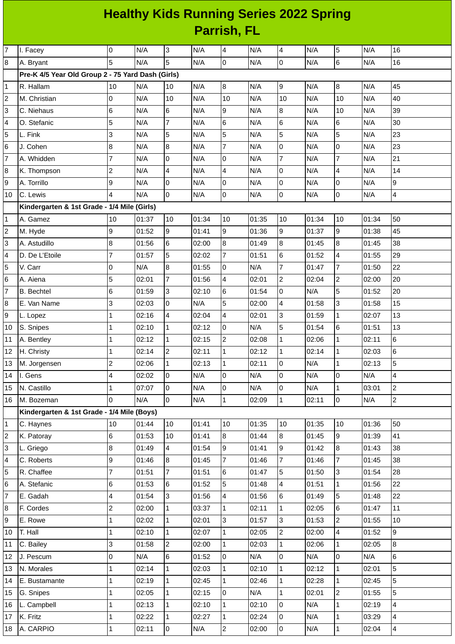## **Healthy Kids Running Series 2022 Spring Parrish, FL**

| $\overline{7}$ | I. Facey                                          | 0              | N/A   | 3              | N/A   | 4                       | N/A   | $\overline{\mathcal{A}}$ | N/A   | 5              | N/A   | 16                      |
|----------------|---------------------------------------------------|----------------|-------|----------------|-------|-------------------------|-------|--------------------------|-------|----------------|-------|-------------------------|
| 8              | A. Bryant                                         | 5              | N/A   | 5              | N/A   | l0                      | N/A   | $\mathsf{O}$             | N/A   | 6              | N/A   | 16                      |
|                | Pre-K 4/5 Year Old Group 2 - 75 Yard Dash (Girls) |                |       |                |       |                         |       |                          |       |                |       |                         |
| 1              | R. Hallam                                         | 10             | N/A   | 10             | N/A   | $\bf{8}$                | N/A   | 9                        | N/A   | $\bf{8}$       | N/A   | 45                      |
| 2              | M. Christian                                      | 0              | N/A   | 10             | N/A   | 10                      | N/A   | 10                       | N/A   | 10             | N/A   | 40                      |
| 3              | C. Niehaus                                        | 6              | N/A   | 6              | N/A   | 9                       | N/A   | 8                        | N/A   | 10             | N/A   | 39                      |
| 4              | O. Stefanic                                       | 5              | N/A   | $\overline{7}$ | N/A   | $\,6$                   | N/A   | 6                        | N/A   | 6              | N/A   | 30                      |
| 5              | L. Fink                                           | 3              | N/A   | 5              | N/A   | 5                       | N/A   | 5                        | N/A   | 5              | N/A   | 23                      |
| 6              | J. Cohen                                          | 8              | N/A   | 8              | N/A   | $\overline{7}$          | N/A   | $\mathsf 0$              | N/A   | 0              | N/A   | 23                      |
| 7              | A. Whidden                                        | $\overline{7}$ | N/A   | 0              | N/A   | $\overline{0}$          | N/A   | $\overline{7}$           | N/A   | $\overline{7}$ | N/A   | 21                      |
| 8              | K. Thompson                                       | $\overline{c}$ | N/A   | 4              | N/A   | $\overline{\mathbf{4}}$ | N/A   | 0                        | N/A   | 4              | N/A   | 14                      |
| 9              | A. Torrillo                                       | 9              | N/A   | 0              | N/A   | 0                       | N/A   | 0                        | N/A   | 0              | N/A   | 9                       |
| 10             | C. Lewis                                          | 4              | N/A   | 0              | N/A   | l0                      | N/A   | $\mathsf{O}$             | N/A   | 0              | N/A   | $\overline{4}$          |
|                | Kindergarten & 1st Grade - 1/4 Mile (Girls)       |                |       |                |       |                         |       |                          |       |                |       |                         |
| 1              | A. Gamez                                          | 10             | 01:37 | 10             | 01:34 | 10                      | 01:35 | 10                       | 01:34 | 10             | 01:34 | 50                      |
| 2              | M. Hyde                                           | 9              | 01:52 | 9              | 01:41 | $\overline{9}$          | 01:36 | 9                        | 01:37 | $\overline{9}$ | 01:38 | 45                      |
| 3              | A. Astudillo                                      | 8              | 01:56 | 6              | 02:00 | 8                       | 01:49 | 8                        | 01:45 | 8              | 01:45 | 38                      |
| 4              | D. De L'Etoile                                    | $\overline{7}$ | 01:57 | 5              | 02:02 | $\overline{7}$          | 01:51 | 6                        | 01:52 | 4              | 01:55 | 29                      |
| 5              | V. Carr                                           | 0              | N/A   | 8              | 01:55 | 0                       | N/A   | $\overline{7}$           | 01:47 | $\overline{7}$ | 01:50 | 22                      |
| 6              | A. Aiena                                          | 5              | 02:01 | $\overline{7}$ | 01:56 | 4                       | 02:01 | $\overline{c}$           | 02:04 | $\overline{c}$ | 02:00 | 20                      |
| $\overline{7}$ | <b>B.</b> Bechtel                                 | 6              | 01:59 | 3              | 02:10 | $6\phantom{a}$          | 01:54 | 0                        | N/A   | 5              | 01:52 | 20                      |
| 8              | E. Van Name                                       | 3              | 02:03 | 0              | N/A   | 5                       | 02:00 | 4                        | 01:58 | 3              | 01:58 | 15                      |
| 9              | L. Lopez                                          | $\mathbf 1$    | 02:16 | 4              | 02:04 | 4                       | 02:01 | 3                        | 01:59 | $\mathbf 1$    | 02:07 | 13                      |
| 10             | S. Snipes                                         | 1              | 02:10 | $\mathbf{1}$   | 02:12 | 0                       | N/A   | 5                        | 01:54 | 6              | 01:51 | 13                      |
| 11             | A. Bentley                                        | $\mathbf{1}$   | 02:12 | $\mathbf{1}$   | 02:15 | $\overline{c}$          | 02:08 | $\mathbf{1}$             | 02:06 | $\mathbf 1$    | 02:11 | $\,6$                   |
| 12             | H. Christy                                        | $\mathbf 1$    | 02:14 | $\overline{c}$ | 02:11 | $\mathbf{1}$            | 02:12 | $\mathbf 1$              | 02:14 | $\mathbf 1$    | 02:03 | 6                       |
| 13             | M. Jorgensen                                      | $\overline{c}$ | 02:06 | $\mathbf{1}$   | 02:13 | $\mathbf{1}$            | 02:11 | 0                        | N/A   | 1              | 02:13 | 5                       |
|                | 14 I. Gens                                        | $\overline{4}$ | 02:02 | $\mathbf 0$    | N/A   | O                       | N/A   | $\overline{0}$           | N/A   | $\Omega$       | N/A   | $\overline{\mathbf{4}}$ |
| 15             | N. Castillo                                       | $\mathbf{1}$   | 07:07 | 0              | N/A   | Iо                      | N/A   | 0                        | N/A   | $\mathbf 1$    | 03:01 | $\overline{2}$          |
| 16             | M. Bozeman                                        | 0              | N/A   | 0              | N/A   | $\mathbf{1}$            | 02:09 | $\mathbf 1$              | 02:11 | $\overline{0}$ | N/A   | $\overline{2}$          |
|                | Kindergarten & 1st Grade - 1/4 Mile (Boys)        |                |       |                |       |                         |       |                          |       |                |       |                         |
| 1              | C. Haynes                                         | 10             | 01:44 | 10             | 01:41 | 10                      | 01:35 | 10                       | 01:35 | 10             | 01:36 | 50                      |
| 2              | K. Patoray                                        | 6              | 01:53 | 10             | 01:41 | 8                       | 01:44 | 8                        | 01:45 | 9              | 01:39 | 41                      |
| 3              | L. Griego                                         | $\bf 8$        | 01:49 | 4              | 01:54 | 9                       | 01:41 | 9                        | 01:42 | $\bf{8}$       | 01:43 | 38                      |
| 4              | C. Roberts                                        | 9              | 01:46 | 8              | 01:45 | $\overline{7}$          | 01:46 | $\overline{7}$           | 01:46 | $\overline{7}$ | 01:45 | 38                      |
| 5              | R. Chaffee                                        | $\overline{7}$ | 01:51 | $\overline{7}$ | 01:51 | 6                       | 01:47 | 5                        | 01:50 | 3              | 01:54 | 28                      |
| 6              | A. Stefanic                                       | 6              | 01:53 | 6              | 01:52 | 5                       | 01:48 | $\overline{4}$           | 01:51 | $\mathbf 1$    | 01:56 | 22                      |
| 7              | E. Gadah                                          | 4              | 01:54 | 3              | 01:56 | 4                       | 01:56 | 6                        | 01:49 | 5              | 01:48 | 22                      |
| 8              | F. Cordes                                         | $\overline{c}$ | 02:00 | $\mathbf 1$    | 03:37 | $\mathbf 1$             | 02:11 | $\mathbf{1}$             | 02:05 | 6              | 01:47 | 11                      |
| 9              | E. Rowe                                           | $\mathbf 1$    | 02:02 | $\mathbf{1}$   | 02:01 | 3                       | 01:57 | 3                        | 01:53 | $\overline{c}$ | 01:55 | 10                      |
| 10             | T. Hall                                           | 1              | 02:10 | $\mathbf 1$    | 02:07 | $\mathbf{1}$            | 02:05 | $\overline{c}$           | 02:00 | 4              | 01:52 | 9                       |
| 11             | C. Bailey                                         | 3              | 01:58 | $\overline{c}$ | 02:00 | $\mathbf{1}$            | 02:03 | $\mathbf{1}$             | 02:06 | $\mathbf{1}$   | 02:05 | 8                       |
| 12             | J. Pescum                                         | 0              | N/A   | 6              | 01:52 | 0                       | N/A   | $\mathsf 0$              | N/A   | 0              | N/A   | 6                       |
| 13             | N. Morales                                        | $\mathbf 1$    | 02:14 | $\mathbf 1$    | 02:03 | $\mathbf{1}$            | 02:10 | $\mathbf 1$              | 02:12 | $\mathbf{1}$   | 02:01 | 5                       |
| 14             | E. Bustamante                                     | 1              | 02:19 | $\mathbf 1$    | 02:45 | $\mathbf{1}$            | 02:46 | $\mathbf 1$              | 02:28 | $\mathbf{1}$   | 02:45 | 5                       |
| 15             | G. Snipes                                         | $\mathbf 1$    | 02:05 | $\mathbf{1}$   | 02:15 | 0                       | N/A   | $\mathbf{1}$             | 02:01 | $\overline{c}$ | 01:55 | 5                       |
| 16             | L. Campbell                                       | $\mathbf 1$    | 02:13 | $\mathbf 1$    | 02:10 | $\mathbf{1}$            | 02:10 | 0                        | N/A   | $\mathbf 1$    | 02:19 | 4                       |
| 17             | K. Fritz                                          | $\mathbf 1$    | 02:22 | $\mathbf{1}$   | 02:27 | $\mathbf{1}$            | 02:24 | $\overline{0}$           | N/A   | 1              | 03:29 | 4                       |
| 18             | A. CARPIO                                         | 1              | 02:11 | 0              | N/A   | $\overline{2}$          | 02:00 | $\mathsf 0$              | N/A   | 1              | 02:04 | 4                       |
|                |                                                   |                |       |                |       |                         |       |                          |       |                |       |                         |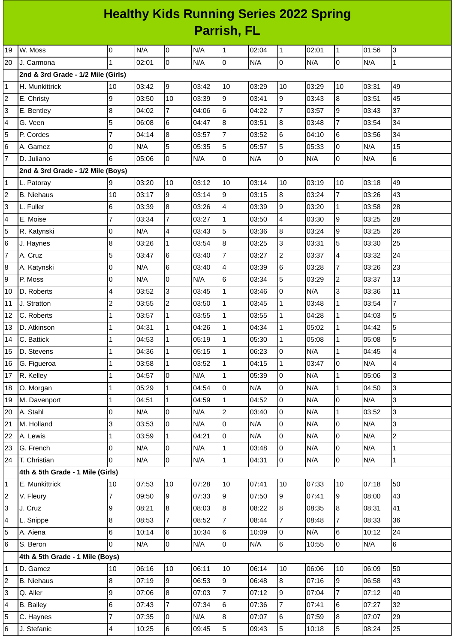## **Healthy Kids Running Series 2022 Spring Parrish, FL**

| 19             | W. Moss                            | 0              | N/A   | $\overline{0}$ | N/A   | $\mathbf{1}$   | 02:04 | $\mathbf 1$              | 02:01 | $\mathbf{1}$     | 01:56 | 3                        |
|----------------|------------------------------------|----------------|-------|----------------|-------|----------------|-------|--------------------------|-------|------------------|-------|--------------------------|
| 20             | J. Carmona                         | $\mathbf{1}$   | 02:01 | $\overline{0}$ | N/A   | $\overline{0}$ | N/A   | $\overline{0}$           | N/A   | $\overline{0}$   | N/A   | $\mathbf{1}$             |
|                | 2nd & 3rd Grade - 1/2 Mile (Girls) |                |       |                |       |                |       |                          |       |                  |       |                          |
| $\mathbf{1}$   | H. Munkittrick                     | 10             | 03:42 | 9              | 03:42 | 10             | 03:29 | 10                       | 03:29 | 10               | 03:31 | 49                       |
| $\overline{c}$ | E. Christy                         | 9              | 03:50 | 10             | 03:39 | 9              | 03:41 | 9                        | 03:43 | 8                | 03:51 | 45                       |
| 3              | E. Bentley                         | 8              | 04:02 | $\overline{7}$ | 04:06 | 6              | 04:22 | $\overline{7}$           | 03:57 | 9                | 03:43 | 37                       |
| 4              | G. Veen                            | 5              | 06:08 | 6              | 04:47 | 8              | 03:51 | 8                        | 03:48 | $\overline{7}$   | 03:54 | 34                       |
| 5              | P. Cordes                          | 7              | 04:14 | 8              | 03:57 | $\overline{7}$ | 03:52 | 6                        | 04:10 | 6                | 03:56 | 34                       |
| $\,$ 6         | A. Gamez                           | 0              | N/A   | 5              | 05:35 | 5              | 05:57 | 5                        | 05:33 | 0                | N/A   | 15                       |
| $\overline{7}$ | D. Juliano                         | 6              | 05:06 | $\overline{0}$ | N/A   | l0             | N/A   | $\overline{0}$           | N/A   | 0                | N/A   | $6\phantom{.}6$          |
|                | 2nd & 3rd Grade - 1/2 Mile (Boys)  |                |       |                |       |                |       |                          |       |                  |       |                          |
| 1              | L. Patoray                         | 9              | 03:20 | 10             | 03:12 | 10             | 03:14 | 10                       | 03:19 | 10               | 03:18 | 49                       |
| 2              | <b>B.</b> Niehaus                  | 10             | 03:17 | 9              | 03:14 | 9              | 03:15 | 8                        | 03:24 | $\overline{7}$   | 03:26 | 43                       |
| 3              | L. Fuller                          | 6              | 03:39 | 8              | 03:26 | 4              | 03:39 | 9                        | 03:20 | $1\,$            | 03:58 | 28                       |
| 4              | E. Moise                           | $\overline{7}$ | 03:34 | $\overline{7}$ | 03:27 | $\mathbf{1}$   | 03:50 | $\overline{\mathcal{L}}$ | 03:30 | $\boldsymbol{9}$ | 03:25 | 28                       |
| 5              | R. Katynski                        | 0              | N/A   | 4              | 03:43 | 5              | 03:36 | 8                        | 03:24 | 9                | 03:25 | 26                       |
| $\,$ 6         | J. Haynes                          | 8              | 03:26 | $\mathbf 1$    | 03:54 | 8              | 03:25 | 3                        | 03:31 | 5                | 03:30 | 25                       |
| $\overline{7}$ | A. Cruz                            | 5              | 03:47 | 6              | 03:40 | $\overline{7}$ | 03:27 | $\overline{c}$           | 03:37 | 4                | 03:32 | 24                       |
| 8              | A. Katynski                        | 0              | N/A   | 6              | 03:40 | 4              | 03:39 | 6                        | 03:28 | $\overline{7}$   | 03:26 | 23                       |
| 9              | P. Moss                            | 0              | N/A   | $\mathbf 0$    | N/A   | 6              | 03:34 | 5                        | 03:29 | $\mathbf{2}$     | 03:37 | 13                       |
| 10             | D. Roberts                         | 4              | 03:52 | 3              | 03:45 | $\mathbf{1}$   | 03:46 | 0                        | N/A   | 3                | 03:36 | 11                       |
| 11             | J. Stratton                        | $\overline{c}$ | 03:55 | $\overline{c}$ | 03:50 | $\mathbf{1}$   | 03:45 | $\mathbf{1}$             | 03:48 | $\mathbf{1}$     | 03:54 | $\overline{\mathcal{I}}$ |
| 12             | C. Roberts                         | 1              | 03:57 | $\mathbf{1}$   | 03:55 | $\mathbf 1$    | 03:55 | $\mathbf{1}$             | 04:28 | $\mathbf{1}$     | 04:03 | 5                        |
| 13             | D. Atkinson                        | 1              | 04:31 | $\mathbf{1}$   | 04:26 | $\mathbf{1}$   | 04:34 | $\mathbf{1}$             | 05:02 | $\mathbf{1}$     | 04:42 | 5                        |
| 14             | C. Battick                         | 1              | 04:53 | $\mathbf{1}$   | 05:19 | $\mathbf{1}$   | 05:30 | $\mathbf 1$              | 05:08 | $\mathbf{1}$     | 05:08 | 5                        |
| 15             | D. Stevens                         | 1              | 04:36 | $\mathbf 1$    | 05:15 | $\mathbf{1}$   | 06:23 | 0                        | N/A   | $\mathbf 1$      | 04:45 | $\overline{4}$           |
| 16             | G. Figueroa                        | 1              | 03:58 | $\mathbf{1}$   | 03:52 | $\mathbf{1}$   | 04:15 | $\mathbf{1}$             | 03:47 | 0                | N/A   | 4                        |
| 17             | R. Kelley                          | $\mathbf{1}$   | 04:57 | l0             | N/A   | $\mathbf{1}$   | 05:39 | $\overline{0}$           | N/A   | $\mathbf{1}$     | 05:06 | 3                        |
| 18             | O. Morgan                          | $\mathbf{1}$   | 05:29 | $\mathbf 1$    | 04:54 | $\overline{0}$ | N/A   | l0                       | N/A   | $\mathbf{1}$     | 04:50 | 3                        |
| 19             | M. Davenport                       | $\mathbf{1}$   | 04:51 | $\mathbf 1$    | 04:59 | $\mathbf{1}$   | 04:52 | O                        | N/A   | $\mathsf{O}$     | N/A   | 3                        |
| 20             | A. Stahl                           | 0              | N/A   | 0              | N/A   | $\overline{2}$ | 03:40 | 0                        | N/A   | $\mathbf 1$      | 03:52 | 3                        |
| 21             | M. Holland                         | 3              | 03:53 | 0              | N/A   | 0              | N/A   | lo.                      | N/A   | 0                | N/A   | 3                        |
| 22             | A. Lewis                           | 1              | 03:59 | $\mathbf{1}$   | 04:21 | 0              | N/A   | $\overline{0}$           | N/A   | 0                | N/A   | $\mathbf{2}$             |
| 23             | G. French                          | 0              | N/A   | 0              | N/A   | $\overline{1}$ | 03:48 | $\overline{0}$           | N/A   | 0                | N/A   | $\mathbf{1}$             |
| 24             | T. Christian                       | $\Omega$       | N/A   | 0              | N/A   | $\mathbf 1$    | 04:31 | $\overline{0}$           | N/A   | $\mathsf 0$      | N/A   | $\overline{1}$           |
|                | 4th & 5th Grade - 1 Mile (Girls)   |                |       |                |       |                |       |                          |       |                  |       |                          |
| 1              | E. Munkittrick                     | 10             | 07:53 | 10             | 07:28 | 10             | 07:41 | 10                       | 07:33 | 10               | 07:18 | 50                       |
| $\overline{c}$ | V. Fleury                          | 7              | 09:50 | 9              | 07:33 | $\overline{9}$ | 07:50 | 9                        | 07:41 | 9                | 08:00 | 43                       |
| 3              | J. Cruz                            | 9              | 08:21 | 8              | 08:03 | 8              | 08:22 | $\overline{8}$           | 08:35 | 8                | 08:31 | 41                       |
| 4              | L. Snippe                          | 8              | 08:53 | $\overline{7}$ | 08:52 | $\overline{7}$ | 08:44 | $\overline{7}$           | 08:48 | $\overline{7}$   | 08:33 | 36                       |
| 5              | A. Aiena                           | 6              | 10:14 | 6              | 10:34 | 6              | 10:09 | $\overline{0}$           | N/A   | $\,6\,$          | 10:12 | 24                       |
| 6              | S. Beron                           | $\Omega$       | N/A   | 0              | N/A   | 0              | N/A   | 6                        | 10:55 | 0                | N/A   | 6                        |
|                | 4th & 5th Grade - 1 Mile (Boys)    |                |       |                |       |                |       |                          |       |                  |       |                          |
| 1              | D. Gamez                           | 10             | 06:16 | 10             | 06:11 | 10             | 06:14 | 10                       | 06:06 | 10               | 06:09 | 50                       |
| 2              | <b>B.</b> Niehaus                  | 8              | 07:19 | 9              | 06:53 | 9              | 06:48 | 8                        | 07:16 | 9                | 06:58 | 43                       |
| 3              | Q. Aller                           | 9              | 07:06 | 8              | 07:03 | $\overline{7}$ | 07:12 | 9                        | 07:04 | $\overline{7}$   | 07:12 | 40                       |
| 4              | <b>B.</b> Bailey                   | 6              | 07:43 | $\overline{7}$ | 07:34 | 6              | 07:36 | $\overline{7}$           | 07:41 | 6                | 07:27 | 32                       |
| 5              | C. Haynes                          | $\overline{7}$ | 07:35 | 0              | N/A   | 8              | 07:07 | 6                        | 07:59 | 8                | 07:07 | 29                       |
| 6              | J. Stefanic                        | 4              | 10:25 | $6\phantom{a}$ | 09:45 | 5 <sup>5</sup> | 09:43 | 5                        | 10:18 | 5                | 08:24 | 25                       |